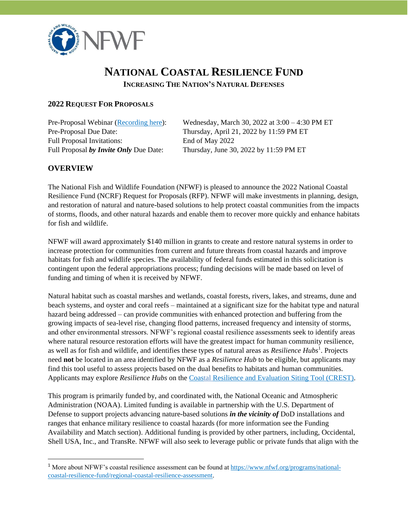

# **NATIONAL COASTAL RESILIENCE FUND**

**INCREASING THE NATION'S NATURAL DEFENSES**

#### **2022 REQUEST FOR PROPOSALS**

Full Proposal Invitations: End of May 2022

Pre-Proposal Webinar [\(Recording](https://attendee.gotowebinar.com/recording/6666383401729491471) here): Wednesday, March 30, 2022 at 3:00 – 4:30 PM ET Pre-Proposal Due Date: Thursday, April 21, 2022 by 11:59 PM ET Full Proposal *by Invite Only* Due Date: Thursday, June 30, 2022 by 11:59 PM ET

#### **OVERVIEW**

The National Fish and Wildlife Foundation (NFWF) is pleased to announce the 2022 National Coastal Resilience Fund (NCRF) Request for Proposals (RFP). NFWF will make investments in planning, design, and restoration of natural and nature-based solutions to help protect coastal communities from the impacts of storms, floods, and other natural hazards and enable them to recover more quickly and enhance habitats for fish and wildlife.

NFWF will award approximately \$140 million in grants to create and restore natural systems in order to increase protection for communities from current and future threats from coastal hazards and improve habitats for fish and wildlife species. The availability of federal funds estimated in this solicitation is contingent upon the federal appropriations process; funding decisions will be made based on level of funding and timing of when it is received by NFWF.

Natural habitat such as coastal marshes and wetlands, coastal forests, rivers, lakes, and streams, dune and beach systems, and oyster and coral reefs – maintained at a significant size for the habitat type and natural hazard being addressed – can provide communities with enhanced protection and buffering from the growing impacts of sea-level rise, changing flood patterns, increased frequency and intensity of storms, and other environmental stressors. NFWF's regional coastal resilience assessments seek to identify areas where natural resource restoration efforts will have the greatest impact for human community resilience, as well as for fish and wildlife, and identifies these types of natural areas as *Resilience Hubs*<sup>1</sup>. Projects need **not** be located in an area identified by NFWF as a *Resilience Hub* to be eligible, but applicants may find this tool useful to assess projects based on the dual benefits to habitats and human communities. Applicants may explore *Resilience Hubs* on th[e Coastal Resilience and Evaluation Siting Tool \(CREST\).](https://resilientcoasts.org/)

This program is primarily funded by, and coordinated with, the National Oceanic and Atmospheric Administration (NOAA). Limited funding is available in partnership with the U.S. Department of Defense to support projects advancing nature-based solutions *in the vicinity of* DoD installations and ranges that enhance military resilience to coastal hazards (for more information see the Funding Availability and Match section). Additional funding is provided by other partners, including, Occidental, Shell USA, Inc., and TransRe. NFWF will also seek to leverage public or private funds that align with the

<sup>&</sup>lt;sup>1</sup> More about NFWF's coastal resilience assessment can be found at [https://www.nfwf.org/programs/national](https://www.nfwf.org/programs/national-coastal-resilience-fund/regional-coastal-resilience-assessment)[coastal-resilience-fund/regional-coastal-resilience-assessment.](https://www.nfwf.org/programs/national-coastal-resilience-fund/regional-coastal-resilience-assessment)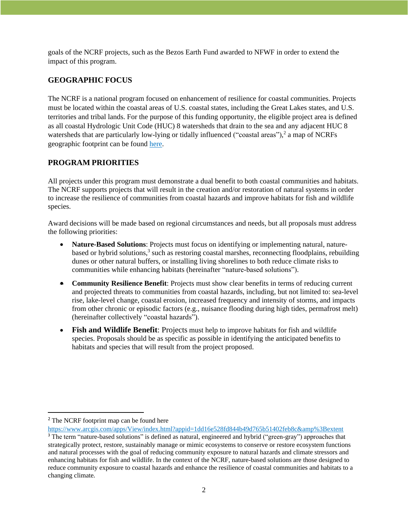goals of the NCRF projects, such as the Bezos Earth Fund awarded to NFWF in order to extend the impact of this program.

# **GEOGRAPHIC FOCUS**

The NCRF is a national program focused on enhancement of resilience for coastal communities. Projects must be located within the coastal areas of U.S. coastal states, including the Great Lakes states, and U.S. territories and tribal lands. For the purpose of this funding opportunity, the eligible project area is defined as all coastal Hydrologic Unit Code (HUC) 8 watersheds that drain to the sea and any adjacent HUC 8 watersheds that are particularly low-lying or tidally influenced ("coastal areas"),<sup>2</sup> a map of NCRFs geographic footprint can be found [here.](https://www.arcgis.com/apps/View/index.html?appid=1dd16e528fd844b49d765b51402feb8c&%3Bextent)

### **PROGRAM PRIORITIES**

All projects under this program must demonstrate a dual benefit to both coastal communities and habitats. The NCRF supports projects that will result in the creation and/or restoration of natural systems in order to increase the resilience of communities from coastal hazards and improve habitats for fish and wildlife species.

Award decisions will be made based on regional circumstances and needs, but all proposals must address the following priorities:

- **Nature-Based Solutions**: Projects must focus on identifying or implementing natural, naturebased or hybrid solutions,<sup>3</sup> such as restoring coastal marshes, reconnecting floodplains, rebuilding dunes or other natural buffers, or installing living shorelines to both reduce climate risks to communities while enhancing habitats (hereinafter "nature-based solutions").
- **Community Resilience Benefit**: Projects must show clear benefits in terms of reducing current and projected threats to communities from coastal hazards, including, but not limited to: sea-level rise, lake-level change, coastal erosion, increased frequency and intensity of storms, and impacts from other chronic or episodic factors (e.g., nuisance flooding during high tides, permafrost melt) (hereinafter collectively "coastal hazards").
- **Fish and Wildlife Benefit**: Projects must help to improve habitats for fish and wildlife species. Proposals should be as specific as possible in identifying the anticipated benefits to habitats and species that will result from the project proposed.

<sup>&</sup>lt;sup>2</sup> The NCRF footprint map can be found here

[https://www.arcgis.com/apps/View/index.html?appid=1dd16e528fd844b49d765b51402feb8c&amp%3Bextent](https://www.arcgis.com/apps/View/index.html?appid=1dd16e528fd844b49d765b51402feb8c&%3Bextent) <sup>3</sup> The term "nature-based solutions" is defined as natural, engineered and hybrid ("green-gray") approaches that strategically protect, restore, sustainably manage or mimic ecosystems to conserve or restore ecosystem functions and natural processes with the goal of reducing community exposure to natural hazards and climate stressors and enhancing habitats for fish and wildlife. In the context of the NCRF, nature-based solutions are those designed to reduce community exposure to coastal hazards and enhance the resilience of coastal communities and habitats to a changing climate.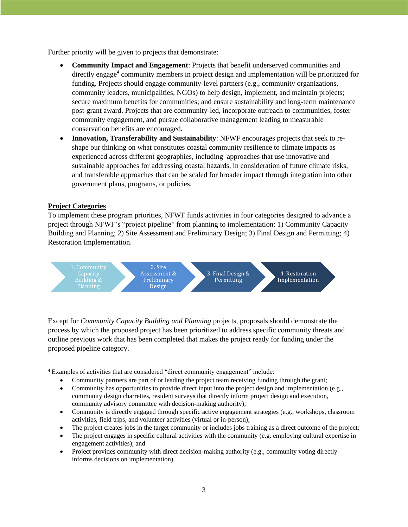Further priority will be given to projects that demonstrate:

- **Community Impact and Engagement**: Projects that benefit underserved communities and directly engage<sup>4</sup> community members in project design and implementation will be prioritized for funding. Projects should engage community-level partners (e.g., community organizations, community leaders, municipalities, NGOs) to help design, implement, and maintain projects; secure maximum benefits for communities; and ensure sustainability and long-term maintenance post-grant award. Projects that are community-led, incorporate outreach to communities, foster community engagement, and pursue collaborative management leading to measurable conservation benefits are encouraged.
- **Innovation, Transferability and Sustainability**: NFWF encourages projects that seek to reshape our thinking on what constitutes coastal community resilience to climate impacts as experienced across different geographies, including approaches that use innovative and sustainable approaches for addressing coastal hazards, in consideration of future climate risks, and transferable approaches that can be scaled for broader impact through integration into other government plans, programs, or policies.

#### **Project Categories**

To implement these program priorities, NFWF funds activities in four categories designed to advance a project through NFWF's "project pipeline" from planning to implementation: 1) Community Capacity Building and Planning; 2) Site Assessment and Preliminary Design; 3) Final Design and Permitting; 4) Restoration Implementation.



Except for *Community Capacity Building and Planning* projects*,* proposals should demonstrate the process by which the proposed project has been prioritized to address specific community threats and outline previous work that has been completed that makes the project ready for funding under the proposed pipeline category.

- Community is directly engaged through specific active engagement strategies (e.g., workshops, classroom activities, field trips, and volunteer activities (virtual or in-person);
- The project creates jobs in the target community or includes jobs training as a direct outcome of the project;
- The project engages in specific cultural activities with the community (e.g. employing cultural expertise in engagement activities); and
- Project provides community with direct decision-making authority (e.g., community voting directly informs decisions on implementation).

<sup>4</sup> Examples of activities that are considered "direct community engagement" include:

<sup>•</sup> Community partners are part of or leading the project team receiving funding through the grant;

<sup>•</sup> Community has opportunities to provide direct input into the project design and implementation (e.g., community design charrettes, resident surveys that directly inform project design and execution, community advisory committee with decision-making authority);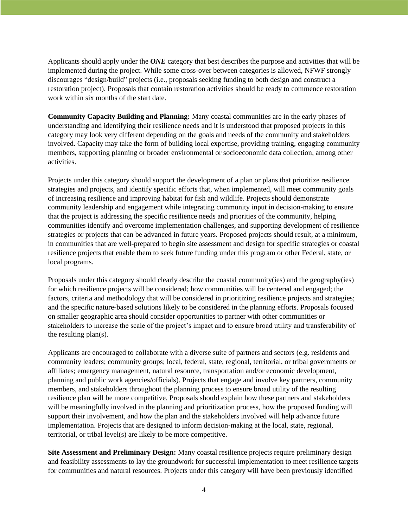Applicants should apply under the *ONE* category that best describes the purpose and activities that will be implemented during the project. While some cross-over between categories is allowed, NFWF strongly discourages "design/build" projects (i.e., proposals seeking funding to both design and construct a restoration project). Proposals that contain restoration activities should be ready to commence restoration work within six months of the start date.

**Community Capacity Building and Planning:** Many coastal communities are in the early phases of understanding and identifying their resilience needs and it is understood that proposed projects in this category may look very different depending on the goals and needs of the community and stakeholders involved. Capacity may take the form of building local expertise, providing training, engaging community members, supporting planning or broader environmental or socioeconomic data collection, among other activities.

Projects under this category should support the development of a plan or plans that prioritize resilience strategies and projects, and identify specific efforts that, when implemented, will meet community goals of increasing resilience and improving habitat for fish and wildlife. Projects should demonstrate community leadership and engagement while integrating community input in decision-making to ensure that the project is addressing the specific resilience needs and priorities of the community, helping communities identify and overcome implementation challenges, and supporting development of resilience strategies or projects that can be advanced in future years. Proposed projects should result, at a minimum, in communities that are well-prepared to begin site assessment and design for specific strategies or coastal resilience projects that enable them to seek future funding under this program or other Federal, state, or local programs.

Proposals under this category should clearly describe the coastal community(ies) and the geography(ies) for which resilience projects will be considered; how communities will be centered and engaged; the factors, criteria and methodology that will be considered in prioritizing resilience projects and strategies; and the specific nature-based solutions likely to be considered in the planning efforts. Proposals focused on smaller geographic area should consider opportunities to partner with other communities or stakeholders to increase the scale of the project's impact and to ensure broad utility and transferability of the resulting plan(s).

Applicants are encouraged to collaborate with a diverse suite of partners and sectors (e.g. residents and community leaders; community groups; local, federal, state, regional, territorial, or tribal governments or affiliates; emergency management, natural resource, transportation and/or economic development, planning and public work agencies/officials). Projects that engage and involve key partners, community members, and stakeholders throughout the planning process to ensure broad utility of the resulting resilience plan will be more competitive. Proposals should explain how these partners and stakeholders will be meaningfully involved in the planning and prioritization process, how the proposed funding will support their involvement, and how the plan and the stakeholders involved will help advance future implementation. Projects that are designed to inform decision-making at the local, state, regional, territorial, or tribal level(s) are likely to be more competitive.

**Site Assessment and Preliminary Design:** Many coastal resilience projects require preliminary design and feasibility assessments to lay the groundwork for successful implementation to meet resilience targets for communities and natural resources. Projects under this category will have been previously identified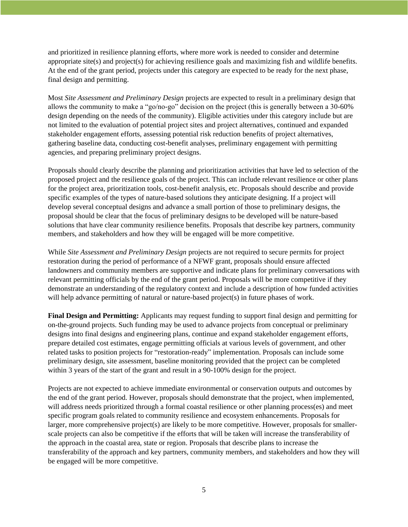and prioritized in resilience planning efforts, where more work is needed to consider and determine appropriate site(s) and project(s) for achieving resilience goals and maximizing fish and wildlife benefits. At the end of the grant period, projects under this category are expected to be ready for the next phase, final design and permitting.

Most *Site Assessment and Preliminary Design* projects are expected to result in a preliminary design that allows the community to make a "go/no-go" decision on the project (this is generally between a 30-60% design depending on the needs of the community). Eligible activities under this category include but are not limited to the evaluation of potential project sites and project alternatives, continued and expanded stakeholder engagement efforts, assessing potential risk reduction benefits of project alternatives, gathering baseline data, conducting cost-benefit analyses, preliminary engagement with permitting agencies, and preparing preliminary project designs.

Proposals should clearly describe the planning and prioritization activities that have led to selection of the proposed project and the resilience goals of the project. This can include relevant resilience or other plans for the project area, prioritization tools, cost-benefit analysis, etc. Proposals should describe and provide specific examples of the types of nature-based solutions they anticipate designing. If a project will develop several conceptual designs and advance a small portion of those to preliminary designs, the proposal should be clear that the focus of preliminary designs to be developed will be nature-based solutions that have clear community resilience benefits. Proposals that describe key partners, community members, and stakeholders and how they will be engaged will be more competitive.

While *Site Assessment and Preliminary Design* projects are not required to secure permits for project restoration during the period of performance of a NFWF grant, proposals should ensure affected landowners and community members are supportive and indicate plans for preliminary conversations with relevant permitting officials by the end of the grant period. Proposals will be more competitive if they demonstrate an understanding of the regulatory context and include a description of how funded activities will help advance permitting of natural or nature-based project(s) in future phases of work.

**Final Design and Permitting:** Applicants may request funding to support final design and permitting for on-the-ground projects. Such funding may be used to advance projects from conceptual or preliminary designs into final designs and engineering plans, continue and expand stakeholder engagement efforts, prepare detailed cost estimates, engage permitting officials at various levels of government, and other related tasks to position projects for "restoration-ready" implementation. Proposals can include some preliminary design, site assessment, baseline monitoring provided that the project can be completed within 3 years of the start of the grant and result in a 90-100% design for the project.

Projects are not expected to achieve immediate environmental or conservation outputs and outcomes by the end of the grant period. However, proposals should demonstrate that the project, when implemented, will address needs prioritized through a formal coastal resilience or other planning process(es) and meet specific program goals related to community resilience and ecosystem enhancements. Proposals for larger, more comprehensive project(s) are likely to be more competitive. However, proposals for smallerscale projects can also be competitive if the efforts that will be taken will increase the transferability of the approach in the coastal area, state or region. Proposals that describe plans to increase the transferability of the approach and key partners, community members, and stakeholders and how they will be engaged will be more competitive.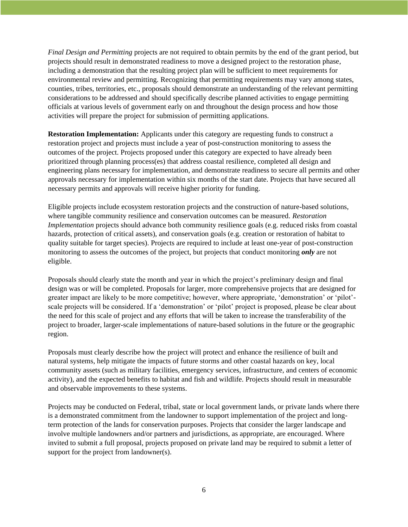*Final Design and Permitting* projects are not required to obtain permits by the end of the grant period, but projects should result in demonstrated readiness to move a designed project to the restoration phase, including a demonstration that the resulting project plan will be sufficient to meet requirements for environmental review and permitting. Recognizing that permitting requirements may vary among states, counties, tribes, territories, etc., proposals should demonstrate an understanding of the relevant permitting considerations to be addressed and should specifically describe planned activities to engage permitting officials at various levels of government early on and throughout the design process and how those activities will prepare the project for submission of permitting applications.

**Restoration Implementation:** Applicants under this category are requesting funds to construct a restoration project and projects must include a year of post-construction monitoring to assess the outcomes of the project. Projects proposed under this category are expected to have already been prioritized through planning process(es) that address coastal resilience, completed all design and engineering plans necessary for implementation, and demonstrate readiness to secure all permits and other approvals necessary for implementation within six months of the start date. Projects that have secured all necessary permits and approvals will receive higher priority for funding.

Eligible projects include ecosystem restoration projects and the construction of nature-based solutions, where tangible community resilience and conservation outcomes can be measured. *Restoration Implementation* projects should advance both community resilience goals (e.g. reduced risks from coastal hazards, protection of critical assets), and conservation goals (e.g. creation or restoration of habitat to quality suitable for target species). Projects are required to include at least one-year of post-construction monitoring to assess the outcomes of the project, but projects that conduct monitoring *only* are not eligible.

Proposals should clearly state the month and year in which the project's preliminary design and final design was or will be completed. Proposals for larger, more comprehensive projects that are designed for greater impact are likely to be more competitive; however, where appropriate, 'demonstration' or 'pilot' scale projects will be considered. If a 'demonstration' or 'pilot' project is proposed, please be clear about the need for this scale of project and any efforts that will be taken to increase the transferability of the project to broader, larger-scale implementations of nature-based solutions in the future or the geographic region.

Proposals must clearly describe how the project will protect and enhance the resilience of built and natural systems, help mitigate the impacts of future storms and other coastal hazards on key, local community assets (such as military facilities, emergency services, infrastructure, and centers of economic activity), and the expected benefits to habitat and fish and wildlife. Projects should result in measurable and observable improvements to these systems.

Projects may be conducted on Federal, tribal, state or local government lands, or private lands where there is a demonstrated commitment from the landowner to support implementation of the project and longterm protection of the lands for conservation purposes. Projects that consider the larger landscape and involve multiple landowners and/or partners and jurisdictions, as appropriate, are encouraged. Where invited to submit a full proposal, projects proposed on private land may be required to submit a letter of support for the project from landowner(s).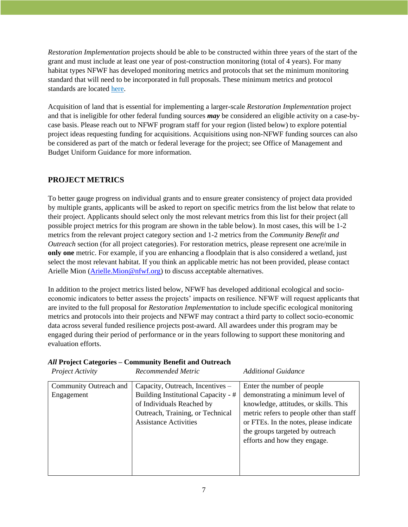*Restoration Implementation* projects should be able to be constructed within three years of the start of the grant and must include at least one year of post-construction monitoring (total of 4 years). For many habitat types NFWF has developed monitoring metrics and protocols that set the minimum monitoring standard that will need to be incorporated in full proposals. These minimum metrics and protocol standards are located [here.](https://www.nfwf.org/sites/default/files/2022-02/NCRF%20Monitoring%20Metrics%20and%20Protocols.pdf)

Acquisition of land that is essential for implementing a larger-scale *Restoration Implementation* project and that is ineligible for other federal funding sources *may* be considered an eligible activity on a case-bycase basis. Please reach out to NFWF program staff for your region (listed below) to explore potential project ideas requesting funding for acquisitions. Acquisitions using non-NFWF funding sources can also be considered as part of the match or federal leverage for the project; see Office of Management and Budget Uniform Guidance for more information.

#### **PROJECT METRICS**

To better gauge progress on individual grants and to ensure greater consistency of project data provided by multiple grants, applicants will be asked to report on specific metrics from the list below that relate to their project. Applicants should select only the most relevant metrics from this list for their project (all possible project metrics for this program are shown in the table below). In most cases, this will be 1-2 metrics from the relevant project category section and 1-2 metrics from the *Community Benefit and Outreach* section (for all project categories). For restoration metrics, please represent one acre/mile in **only one** metric. For example, if you are enhancing a floodplain that is also considered a wetland, just select the most relevant habitat. If you think an applicable metric has not been provided, please contact Arielle Mion [\(Arielle.Mion@nfwf.org\)](mailto:Arielle.Mion@nfwf.org) to discuss acceptable alternatives.

In addition to the project metrics listed below, NFWF has developed additional ecological and socioeconomic indicators to better assess the projects' impacts on resilience. NFWF will request applicants that are invited to the full proposal for *Restoration Implementation* to include specific ecological monitoring metrics and protocols into their projects and NFWF may contract a third party to collect socio-economic data across several funded resilience projects post-award. All awardees under this program may be engaged during their period of performance or in the years following to support these monitoring and evaluation efforts.

# *All* **Project Categories – Community Benefit and Outreach**

| Project Activity                     | Recommended Metric                                                                                                                                                       | <b>Additional Guidance</b>                                                                                                                                                                                                                                       |
|--------------------------------------|--------------------------------------------------------------------------------------------------------------------------------------------------------------------------|------------------------------------------------------------------------------------------------------------------------------------------------------------------------------------------------------------------------------------------------------------------|
| Community Outreach and<br>Engagement | Capacity, Outreach, Incentives –<br>Building Institutional Capacity - #<br>of Individuals Reached by<br>Outreach, Training, or Technical<br><b>Assistance Activities</b> | Enter the number of people<br>demonstrating a minimum level of<br>knowledge, attitudes, or skills. This<br>metric refers to people other than staff<br>or FTEs. In the notes, please indicate<br>the groups targeted by outreach<br>efforts and how they engage. |
|                                      |                                                                                                                                                                          |                                                                                                                                                                                                                                                                  |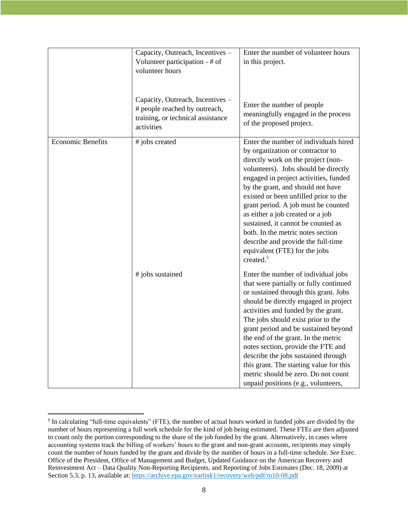|                          | Capacity, Outreach, Incentives -<br>Volunteer participation - # of<br>volunteer hours                                | Enter the number of volunteer hours<br>in this project.                                                                                                                                                                                                                                                                                                                                                                                                                                                                              |
|--------------------------|----------------------------------------------------------------------------------------------------------------------|--------------------------------------------------------------------------------------------------------------------------------------------------------------------------------------------------------------------------------------------------------------------------------------------------------------------------------------------------------------------------------------------------------------------------------------------------------------------------------------------------------------------------------------|
|                          | Capacity, Outreach, Incentives -<br># people reached by outreach,<br>training, or technical assistance<br>activities | Enter the number of people<br>meaningfully engaged in the process<br>of the proposed project.                                                                                                                                                                                                                                                                                                                                                                                                                                        |
| <b>Economic Benefits</b> | # jobs created                                                                                                       | Enter the number of individuals hired<br>by organization or contractor to<br>directly work on the project (non-<br>volunteers). Jobs should be directly<br>engaged in project activities, funded<br>by the grant, and should not have<br>existed or been unfilled prior to the<br>grant period. A job must be counted<br>as either a job created or a job<br>sustained, it cannot be counted as<br>both. In the metric notes section<br>describe and provide the full-time<br>equivalent (FTE) for the jobs<br>created. <sup>5</sup> |
|                          | # jobs sustained                                                                                                     | Enter the number of individual jobs<br>that were partially or fully continued<br>or sustained through this grant. Jobs<br>should be directly engaged in project<br>activities and funded by the grant.<br>The jobs should exist prior to the<br>grant period and be sustained beyond<br>the end of the grant. In the metric<br>notes section, provide the FTE and<br>describe the jobs sustained through<br>this grant. The starting value for this<br>metric should be zero. Do not count<br>unpaid positions (e.g., volunteers,    |

<sup>&</sup>lt;sup>5</sup> In calculating "full-time equivalents" (FTE), the number of actual hours worked in funded jobs are divided by the number of hours representing a full work schedule for the kind of job being estimated. These FTEs are then adjusted to count only the portion corresponding to the share of the job funded by the grant. Alternatively, in cases where accounting systems track the billing of workers' hours to the grant and non-grant accounts, recipients may simply count the number of hours funded by the grant and divide by the number of hours in a full-time schedule. *See* Exec. Office of the President, Office of Management and Budget, Updated Guidance on the American Recovery and Reinvestment Act – Data Quality Non-Reporting Recipients, and Reporting of Jobs Estimates (Dec. 18, 2009) at Section 5.3, p. 13, available at:<https://archive.epa.gov/earlink1/recovery/web/pdf/m10-08.pdf>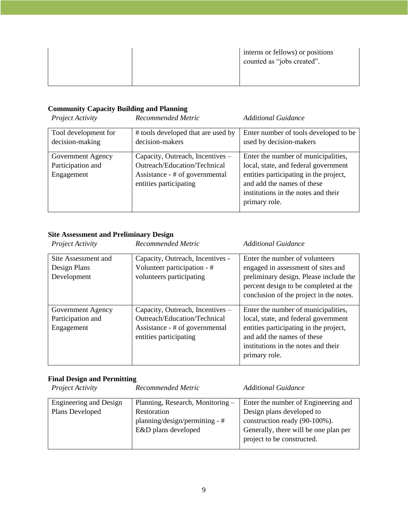|  | interns or fellows) or positions<br>counted as "jobs created". |
|--|----------------------------------------------------------------|
|--|----------------------------------------------------------------|

# **Community Capacity Building and Planning**

| Project Activity                                     | Recommended Metric                                                                                                           | Additional Guidance                                                                                                                                                                                         |
|------------------------------------------------------|------------------------------------------------------------------------------------------------------------------------------|-------------------------------------------------------------------------------------------------------------------------------------------------------------------------------------------------------------|
| Tool development for<br>decision-making              | # tools developed that are used by<br>decision-makers                                                                        | Enter number of tools developed to be<br>used by decision-makers                                                                                                                                            |
| Government Agency<br>Participation and<br>Engagement | Capacity, Outreach, Incentives –<br>Outreach/Education/Technical<br>Assistance - # of governmental<br>entities participating | Enter the number of municipalities,<br>local, state, and federal government<br>entities participating in the project,<br>and add the names of these<br>institutions in the notes and their<br>primary role. |

# **Site Assessment and Preliminary Design**

| Project Activity                                     | Recommended Metric                                                                                                           | Additional Guidance                                                                                                                                                                                         |
|------------------------------------------------------|------------------------------------------------------------------------------------------------------------------------------|-------------------------------------------------------------------------------------------------------------------------------------------------------------------------------------------------------------|
| Site Assessment and<br>Design Plans<br>Development   | Capacity, Outreach, Incentives -<br>Volunteer participation - #<br>volunteers participating                                  | Enter the number of volunteers<br>engaged in assessment of sites and<br>preliminary design. Please include the<br>percent design to be completed at the<br>conclusion of the project in the notes.          |
| Government Agency<br>Participation and<br>Engagement | Capacity, Outreach, Incentives –<br>Outreach/Education/Technical<br>Assistance - # of governmental<br>entities participating | Enter the number of municipalities,<br>local, state, and federal government<br>entities participating in the project,<br>and add the names of these<br>institutions in the notes and their<br>primary role. |

# **Final Design and Permitting**

| Project Activity       | Recommended Metric               | <b>Additional Guidance</b>            |
|------------------------|----------------------------------|---------------------------------------|
| Engineering and Design | Planning, Research, Monitoring - | Enter the number of Engineering and   |
| Plans Developed        | Restoration                      | Design plans developed to             |
|                        | planning/design/permitting - #   | construction ready (90-100%).         |
|                        | E&D plans developed              | Generally, there will be one plan per |
|                        |                                  | project to be constructed.            |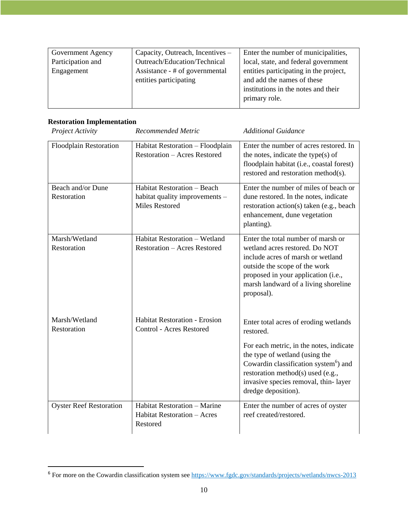| Government Agency | Capacity, Outreach, Incentives – | Enter the number of municipalities,    |
|-------------------|----------------------------------|----------------------------------------|
| Participation and | Outreach/Education/Technical     | local, state, and federal government   |
| Engagement        | Assistance - # of governmental   | entities participating in the project, |
|                   | entities participating           | and add the names of these             |
|                   |                                  | institutions in the notes and their    |
|                   |                                  | primary role.                          |
|                   |                                  |                                        |

# **Restoration Implementation**

| Project Activity                 | Recommended Metric                                                                     | <b>Additional Guidance</b>                                                                                                                                                                                                                                                               |
|----------------------------------|----------------------------------------------------------------------------------------|------------------------------------------------------------------------------------------------------------------------------------------------------------------------------------------------------------------------------------------------------------------------------------------|
| <b>Floodplain Restoration</b>    | Habitat Restoration - Floodplain<br><b>Restoration - Acres Restored</b>                | Enter the number of acres restored. In<br>the notes, indicate the type(s) of<br>floodplain habitat (i.e., coastal forest)<br>restored and restoration method(s).                                                                                                                         |
| Beach and/or Dune<br>Restoration | Habitat Restoration - Beach<br>habitat quality improvements -<br><b>Miles Restored</b> | Enter the number of miles of beach or<br>dune restored. In the notes, indicate<br>restoration action(s) taken (e.g., beach<br>enhancement, dune vegetation<br>planting).                                                                                                                 |
| Marsh/Wetland<br>Restoration     | Habitat Restoration - Wetland<br><b>Restoration - Acres Restored</b>                   | Enter the total number of marsh or<br>wetland acres restored. Do NOT<br>include acres of marsh or wetland<br>outside the scope of the work<br>proposed in your application (i.e.,<br>marsh landward of a living shoreline<br>proposal).                                                  |
| Marsh/Wetland<br>Restoration     | <b>Habitat Restoration - Erosion</b><br><b>Control - Acres Restored</b>                | Enter total acres of eroding wetlands<br>restored.<br>For each metric, in the notes, indicate<br>the type of wetland (using the<br>Cowardin classification system <sup>6</sup> ) and<br>restoration method(s) used (e.g.,<br>invasive species removal, thin-layer<br>dredge deposition). |
| <b>Oyster Reef Restoration</b>   | <b>Habitat Restoration - Marine</b><br><b>Habitat Restoration - Acres</b><br>Restored  | Enter the number of acres of oyster<br>reef created/restored.                                                                                                                                                                                                                            |

<sup>6</sup> For more on the Cowardin classification system see<https://www.fgdc.gov/standards/projects/wetlands/nwcs-2013>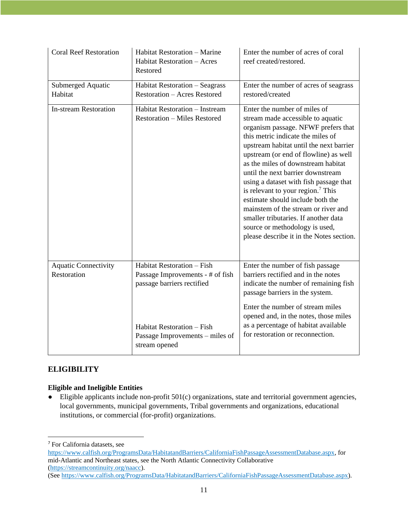| <b>Coral Reef Restoration</b>              | Habitat Restoration - Marine<br><b>Habitat Restoration - Acres</b><br>Restored                                                                                                 | Enter the number of acres of coral<br>reef created/restored.                                                                                                                                                                                                                                                                                                                                                                                                                                                                                                                                    |
|--------------------------------------------|--------------------------------------------------------------------------------------------------------------------------------------------------------------------------------|-------------------------------------------------------------------------------------------------------------------------------------------------------------------------------------------------------------------------------------------------------------------------------------------------------------------------------------------------------------------------------------------------------------------------------------------------------------------------------------------------------------------------------------------------------------------------------------------------|
| Submerged Aquatic<br>Habitat               | Habitat Restoration - Seagrass<br><b>Restoration - Acres Restored</b>                                                                                                          | Enter the number of acres of seagrass<br>restored/created                                                                                                                                                                                                                                                                                                                                                                                                                                                                                                                                       |
| <b>In-stream Restoration</b>               | Habitat Restoration - Instream<br><b>Restoration - Miles Restored</b>                                                                                                          | Enter the number of miles of<br>stream made accessible to aquatic<br>organism passage. NFWF prefers that<br>this metric indicate the miles of<br>upstream habitat until the next barrier<br>upstream (or end of flowline) as well<br>as the miles of downstream habitat<br>until the next barrier downstream<br>using a dataset with fish passage that<br>is relevant to your region. $7$ This<br>estimate should include both the<br>mainstem of the stream or river and<br>smaller tributaries. If another data<br>source or methodology is used,<br>please describe it in the Notes section. |
| <b>Aquatic Connectivity</b><br>Restoration | Habitat Restoration - Fish<br>Passage Improvements - # of fish<br>passage barriers rectified<br>Habitat Restoration - Fish<br>Passage Improvements – miles of<br>stream opened | Enter the number of fish passage<br>barriers rectified and in the notes<br>indicate the number of remaining fish<br>passage barriers in the system.<br>Enter the number of stream miles<br>opened and, in the notes, those miles<br>as a percentage of habitat available<br>for restoration or reconnection.                                                                                                                                                                                                                                                                                    |

### **ELIGIBILITY**

#### **Eligible and Ineligible Entities**

● Eligible applicants include non-profit 501(c) organizations, state and territorial government agencies, local governments, municipal governments, Tribal governments and organizations, educational institutions, or commercial (for-profit) organizations.

<sup>7</sup> For California datasets, see

[https://www.calfish.org/ProgramsData/HabitatandBarriers/CaliforniaFishPassageAssessmentDatabase.aspx,](https://www.calfish.org/ProgramsData/HabitatandBarriers/CaliforniaFishPassageAssessmentDatabase.aspx) for mid-Atlantic and Northeast states, see the North Atlantic Connectivity Collaborative [\(https://streamcontinuity.org/naacc\)](https://streamcontinuity.org/naacc).

<sup>(</sup>See [https://www.calfish.org/ProgramsData/HabitatandBarriers/CaliforniaFishPassageAssessmentDatabase.aspx\)](https://www.calfish.org/ProgramsData/HabitatandBarriers/CaliforniaFishPassageAssessmentDatabase.aspx).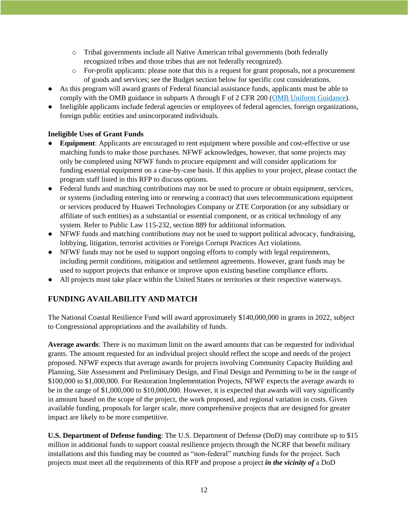- o Tribal governments include all Native American tribal governments (both federally recognized tribes and those tribes that are not federally recognized).
- o For-profit applicants: please note that this is a request for grant proposals, not a procurement of goods and services; see the Budget section below for specific cost considerations.
- As this program will award grants of Federal financial assistance funds, applicants must be able to comply with the OMB guidance in subparts A through F of 2 CFR 200 [\(OMB Uniform Guidance\)](https://www.grants.gov/web/grants/learn-grants/grant-policies/omb-uniform-guidance-2014.html).
- Ineligible applicants include federal agencies or employees of federal agencies, foreign organizations, foreign public entities and unincorporated individuals.

#### **Ineligible Uses of Grant Funds**

- **Equipment**: Applicants are encouraged to rent equipment where possible and cost-effective or use matching funds to make those purchases. NFWF acknowledges, however, that some projects may only be completed using NFWF funds to procure equipment and will consider applications for funding essential equipment on a case-by-case basis. If this applies to your project, please contact the program staff listed in this RFP to discuss options.
- Federal funds and matching contributions may not be used to procure or obtain equipment, services, or systems (including entering into or renewing a contract) that uses telecommunications equipment or services produced by Huawei Technologies Company or ZTE Corporation (or any subsidiary or affiliate of such entities) as a substantial or essential component, or as critical technology of any system. Refer to Public Law 115-232, section 889 for additional information.
- NFWF funds and matching contributions may not be used to support political advocacy, fundraising, lobbying, litigation, terrorist activities or Foreign Corrupt Practices Act violations.
- NFWF funds may not be used to support ongoing efforts to comply with legal requirements, including permit conditions, mitigation and settlement agreements. However, grant funds may be used to support projects that enhance or improve upon existing baseline compliance efforts.
- All projects must take place within the United States or territories or their respective waterways.

### **FUNDING AVAILABILITY AND MATCH**

The National Coastal Resilience Fund will award approximately \$140,000,000 in grants in 2022, subject to Congressional appropriations and the availability of funds.

**Average awards**: There is no maximum limit on the award amounts that can be requested for individual grants. The amount requested for an individual project should reflect the scope and needs of the project proposed. NFWF expects that average awards for projects involving Community Capacity Building and Planning, Site Assessment and Preliminary Design, and Final Design and Permitting to be in the range of \$100,000 to \$1,000,000. For Restoration Implementation Projects, NFWF expects the average awards to be in the range of \$1,000,000 to \$10,000,000. However, it is expected that awards will vary significantly in amount based on the scope of the project, the work proposed, and regional variation in costs. Given available funding, proposals for larger scale, more comprehensive projects that are designed for greater impact are likely to be more competitive.

**U.S. Department of Defense funding**: The U.S. Department of Defense (DoD) may contribute up to \$15 million in additional funds to support coastal resilience projects through the NCRF that benefit military installations and this funding may be counted as "non-federal" matching funds for the project. Such projects must meet all the requirements of this RFP and propose a project *in the vicinity of* a DoD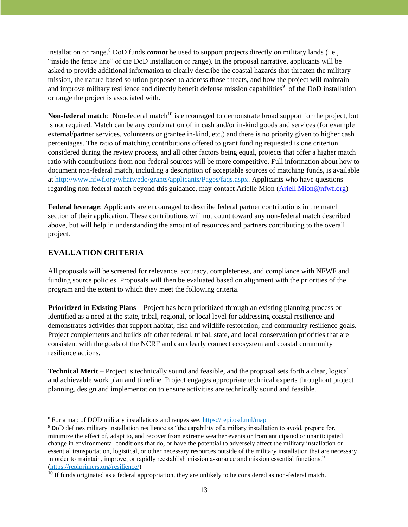installation or range.<sup>8</sup> DoD funds *cannot* be used to support projects directly on military lands (i.e., "inside the fence line" of the DoD installation or range). In the proposal narrative, applicants will be asked to provide additional information to clearly describe the coastal hazards that threaten the military mission, the nature-based solution proposed to address those threats, and how the project will maintain and improve military resilience and directly benefit defense mission capabilities<sup>9</sup> of the DoD installation or range the project is associated with.

**Non-federal match**: Non-federal match<sup>10</sup> is encouraged to demonstrate broad support for the project, but is not required. Match can be any combination of in cash and/or in-kind goods and services (for example external/partner services, volunteers or grantee in-kind, etc.) and there is no priority given to higher cash percentages. The ratio of matching contributions offered to grant funding requested is one criterion considered during the review process, and all other factors being equal, projects that offer a higher match ratio with contributions from non-federal sources will be more competitive. Full information about how to document non-federal match, including a description of acceptable sources of matching funds, is available at [http://www.nfwf.org/whatwedo/grants/applicants/Pages/faqs.aspx.](http://www.nfwf.org/whatwedo/grants/applicants/Pages/faqs.aspx) Applicants who have questions regarding non-federal match beyond this guidance, may contact Arielle Mion [\(Ariell.Mion@nfwf.org\)](mailto:Ariell.Mion@nfwf.org)

**Federal leverage**: Applicants are encouraged to describe federal partner contributions in the match section of their application. These contributions will not count toward any non-federal match described above, but will help in understanding the amount of resources and partners contributing to the overall project.

# **EVALUATION CRITERIA**

All proposals will be screened for relevance, accuracy, completeness, and compliance with NFWF and funding source policies. Proposals will then be evaluated based on alignment with the priorities of the program and the extent to which they meet the following criteria.

**Prioritized in Existing Plans** – Project has been prioritized through an existing planning process or identified as a need at the state, tribal, regional, or local level for addressing coastal resilience and demonstrates activities that support habitat, fish and wildlife restoration, and community resilience goals. Project complements and builds off other federal, tribal, state, and local conservation priorities that are consistent with the goals of the NCRF and can clearly connect ecosystem and coastal community resilience actions.

**Technical Merit** – Project is technically sound and feasible, and the proposal sets forth a clear, logical and achievable work plan and timeline. Project engages appropriate technical experts throughout project planning, design and implementation to ensure activities are technically sound and feasible.

<sup>8</sup> For a map of DOD military installations and ranges see:<https://repi.osd.mil/map>

<sup>9</sup> DoD defines military installation resilience as "the capability of a miliary installation to avoid, prepare for, minimize the effect of, adapt to, and recover from extreme weather events or from anticipated or unanticipated change in environmental conditions that do, or have the potential to adversely affect the military installation or essential transportation, logistical, or other necessary resources outside of the military installation that are necessary in order to maintain, improve, or rapidly reestablish mission assurance and mission essential functions." [\(https://repiprimers.org/resilience/\)](https://repiprimers.org/resilience/)

<sup>&</sup>lt;sup>10</sup> If funds originated as a federal appropriation, they are unlikely to be considered as non-federal match.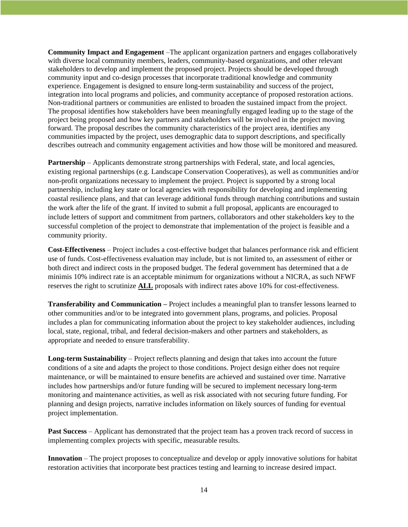**Community Impact and Engagement** –The applicant organization partners and engages collaboratively with diverse local community members, leaders, community-based organizations, and other relevant stakeholders to develop and implement the proposed project. Projects should be developed through community input and co-design processes that incorporate traditional knowledge and community experience. Engagement is designed to ensure long-term sustainability and success of the project, integration into local programs and policies, and community acceptance of proposed restoration actions. Non-traditional partners or communities are enlisted to broaden the sustained impact from the project. The proposal identifies how stakeholders have been meaningfully engaged leading up to the stage of the project being proposed and how key partners and stakeholders will be involved in the project moving forward. The proposal describes the community characteristics of the project area, identifies any communities impacted by the project, uses demographic data to support descriptions, and specifically describes outreach and community engagement activities and how those will be monitored and measured.

**Partnership** – Applicants demonstrate strong partnerships with Federal, state, and local agencies, existing regional partnerships (e.g. Landscape Conservation Cooperatives), as well as communities and/or non-profit organizations necessary to implement the project. Project is supported by a strong local partnership, including key state or local agencies with responsibility for developing and implementing coastal resilience plans, and that can leverage additional funds through matching contributions and sustain the work after the life of the grant. If invited to submit a full proposal, applicants are encouraged to include letters of support and commitment from partners, collaborators and other stakeholders key to the successful completion of the project to demonstrate that implementation of the project is feasible and a community priority.

**Cost-Effectiveness** – Project includes a cost-effective budget that balances performance risk and efficient use of funds. Cost-effectiveness evaluation may include, but is not limited to, an assessment of either or both direct and indirect costs in the proposed budget. The federal government has determined that a de minimis 10% indirect rate is an acceptable minimum for organizations without a NICRA, as such NFWF reserves the right to scrutinize **ALL** proposals with indirect rates above 10% for cost-effectiveness.

**Transferability and Communication –** Project includes a meaningful plan to transfer lessons learned to other communities and/or to be integrated into government plans, programs, and policies. Proposal includes a plan for communicating information about the project to key stakeholder audiences, including local, state, regional, tribal, and federal decision-makers and other partners and stakeholders, as appropriate and needed to ensure transferability.

**Long-term Sustainability** – Project reflects planning and design that takes into account the future conditions of a site and adapts the project to those conditions. Project design either does not require maintenance, or will be maintained to ensure benefits are achieved and sustained over time. Narrative includes how partnerships and/or future funding will be secured to implement necessary long-term monitoring and maintenance activities, as well as risk associated with not securing future funding. For planning and design projects, narrative includes information on likely sources of funding for eventual project implementation.

**Past Success** – Applicant has demonstrated that the project team has a proven track record of success in implementing complex projects with specific, measurable results.

**Innovation** – The project proposes to conceptualize and develop or apply innovative solutions for habitat restoration activities that incorporate best practices testing and learning to increase desired impact.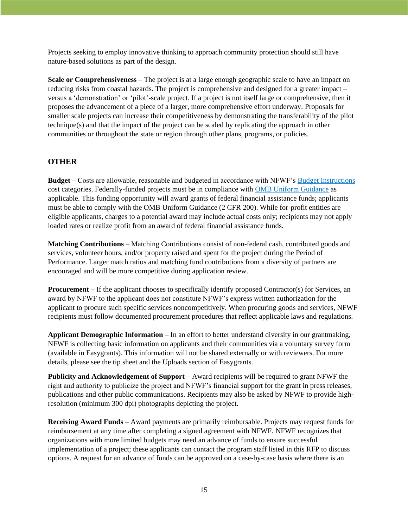Projects seeking to employ innovative thinking to approach community protection should still have nature-based solutions as part of the design.

**Scale or Comprehensiveness** – The project is at a large enough geographic scale to have an impact on reducing risks from coastal hazards. The project is comprehensive and designed for a greater impact – versus a 'demonstration' or 'pilot'-scale project. If a project is not itself large or comprehensive, then it proposes the advancement of a piece of a larger, more comprehensive effort underway. Proposals for smaller scale projects can increase their competitiveness by demonstrating the transferability of the pilot technique(s) and that the impact of the project can be scaled by replicating the approach in other communities or throughout the state or region through other plans, programs, or policies.

#### **OTHER**

**Budget** – Costs are allowable, reasonable and budgeted in accordance with NFWF's [Budget Instructions](http://www.nfwf.org/whatwedo/grants/applicants/Pages/budget-instructions.aspx) cost categories. Federally-funded projects must be in compliance with [OMB Uniform Guidance](http://www.ecfr.gov/cgi-bin/text-idx?SID=704835d27377ef5213a51c149de40cab&node=2:1.1.2.2.1&rgn=div5) as applicable. This funding opportunity will award grants of federal financial assistance funds; applicants must be able to comply with the OMB Uniform Guidance (2 CFR 200). While for-profit entities are eligible applicants, charges to a potential award may include actual costs only; recipients may not apply loaded rates or realize profit from an award of federal financial assistance funds.

**Matching Contributions** – Matching Contributions consist of non-federal cash, contributed goods and services, volunteer hours, and/or property raised and spent for the project during the Period of Performance. Larger match ratios and matching fund contributions from a diversity of partners are encouraged and will be more competitive during application review.

**Procurement** – If the applicant chooses to specifically identify proposed Contractor(s) for Services, an award by NFWF to the applicant does not constitute NFWF's express written authorization for the applicant to procure such specific services noncompetitively. When procuring goods and services, NFWF recipients must follow documented procurement procedures that reflect applicable laws and regulations.

**Applicant Demographic Information** – In an effort to better understand diversity in our grantmaking, NFWF is collecting basic information on applicants and their communities via a voluntary survey form (available in Easygrants). This information will not be shared externally or with reviewers. For more details, please see the tip sheet and the Uploads section of Easygrants.

**Publicity and Acknowledgement of Support** – Award recipients will be required to grant NFWF the right and authority to publicize the project and NFWF's financial support for the grant in press releases, publications and other public communications. Recipients may also be asked by NFWF to provide highresolution (minimum 300 dpi) photographs depicting the project.

**Receiving Award Funds** – Award payments are primarily reimbursable. Projects may request funds for reimbursement at any time after completing a signed agreement with NFWF. NFWF recognizes that organizations with more limited budgets may need an advance of funds to ensure successful implementation of a project; these applicants can contact the program staff listed in this RFP to discuss options. A request for an advance of funds can be approved on a case-by-case basis where there is an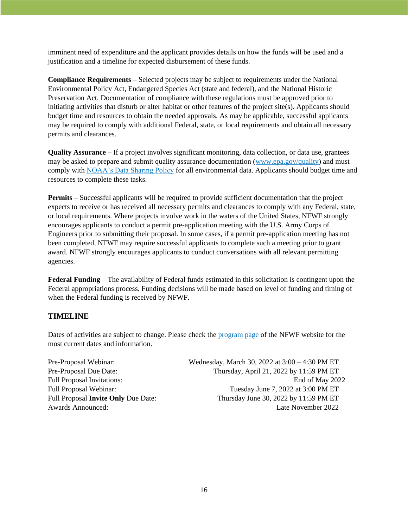imminent need of expenditure and the applicant provides details on how the funds will be used and a justification and a timeline for expected disbursement of these funds.

**Compliance Requirements** – Selected projects may be subject to requirements under the National Environmental Policy Act, Endangered Species Act (state and federal), and the National Historic Preservation Act. Documentation of compliance with these regulations must be approved prior to initiating activities that disturb or alter habitat or other features of the project site(s). Applicants should budget time and resources to obtain the needed approvals. As may be applicable, successful applicants may be required to comply with additional Federal, state, or local requirements and obtain all necessary permits and clearances.

**Quality Assurance** – If a project involves significant monitoring, data collection, or data use, grantees may be asked to prepare and submit quality assurance documentation [\(www.epa.gov/quality\)](https://www.epa.gov/quality) and must comply with [NOAA's Data Sharing Policy](https://nosc.noaa.gov/EDMC/documents/Data_Sharing_Directive_v3.0.pdf) for all environmental data. Applicants should budget time and resources to complete these tasks.

**Permits** – Successful applicants will be required to provide sufficient documentation that the project expects to receive or has received all necessary permits and clearances to comply with any Federal, state, or local requirements. Where projects involve work in the waters of the United States, NFWF strongly encourages applicants to conduct a permit pre-application meeting with the U.S. Army Corps of Engineers prior to submitting their proposal. In some cases, if a permit pre-application meeting has not been completed, NFWF may require successful applicants to complete such a meeting prior to grant award. NFWF strongly encourages applicants to conduct conversations with all relevant permitting agencies.

**Federal Funding** – The availability of Federal funds estimated in this solicitation is contingent upon the Federal appropriations process. Funding decisions will be made based on level of funding and timing of when the Federal funding is received by NFWF.

#### **TIMELINE**

Dates of activities are subject to change. Please check the [program page](https://www.nfwf.org/programs/national-coastal-resilience-fund) of the NFWF website for the most current dates and information.

| Wednesday, March 30, 2022 at 3:00 – 4:30 PM ET |
|------------------------------------------------|
| Thursday, April 21, 2022 by 11:59 PM ET        |
| End of May 2022                                |
| Tuesday June 7, 2022 at 3:00 PM ET             |
| Thursday June 30, 2022 by 11:59 PM ET          |
| Late November 2022                             |
|                                                |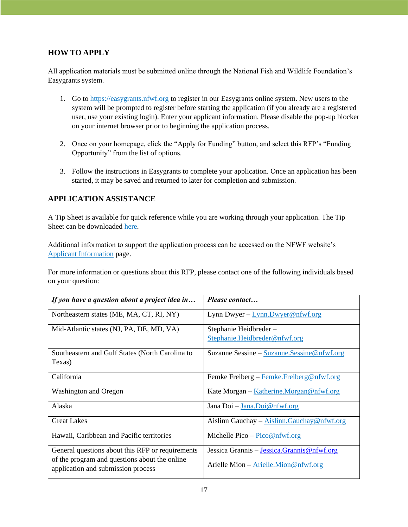# **HOW TO APPLY**

All application materials must be submitted online through the National Fish and Wildlife Foundation's Easygrants system.

- 1. Go to [https://easygrants.nfwf.org](https://easygrants.nfwf.org/) to register in our Easygrants online system. New users to the system will be prompted to register before starting the application (if you already are a registered user, use your existing login). Enter your applicant information. Please disable the pop-up blocker on your internet browser prior to beginning the application process.
- 2. Once on your homepage, click the "Apply for Funding" button, and select this RFP's "Funding Opportunity" from the list of options.
- 3. Follow the instructions in Easygrants to complete your application. Once an application has been started, it may be saved and returned to later for completion and submission.

### **APPLICATION ASSISTANCE**

A Tip Sheet is available for quick reference while you are working through your application. The Tip Sheet can be downloaded [here.](https://www.nfwf.org/sites/default/files/2022-03/2022-NCRF-Tip-Sheet-Pre-Proposal-to-Full-Proposal.pdf)

Additional information to support the application process can be accessed on the NFWF website's [Applicant Information](https://www.nfwf.org/apply-grant/application-information) page.

For more information or questions about this RFP, please contact one of the following individuals based on your question:

| If you have a question about a project idea in                                      | Please contact                                    |
|-------------------------------------------------------------------------------------|---------------------------------------------------|
| Northeastern states (ME, MA, CT, RI, NY)                                            | Lynn Dwyer - $Lym. Dwyer@nfwf.org$                |
| Mid-Atlantic states (NJ, PA, DE, MD, VA)                                            | Stephanie Heidbreder-                             |
|                                                                                     | Stephanie.Heidbreder@nfwf.org                     |
| Southeastern and Gulf States (North Carolina to                                     | Suzanne Sessine - Suzanne. Sessine @ nfwf.org     |
| Texas)                                                                              |                                                   |
| California                                                                          | Femke Freiberg – Femke Freiberg @ nfwf.org        |
| Washington and Oregon                                                               | Kate Morgan – Katherine.Morgan@nfwf.org           |
| Alaska                                                                              | Jana Doi - Jana.Doi@nfwf.org                      |
| <b>Great Lakes</b>                                                                  | Aislinn Gauchay $-\Delta$ islinn.Gauchay@nfwf.org |
| Hawaii, Caribbean and Pacific territories                                           | Michelle Pico – $Pico@nfwf.org$                   |
| General questions about this RFP or requirements                                    | Jessica Grannis – Jessica Grannis @ nfwf.org      |
| of the program and questions about the online<br>application and submission process | Arielle Mion $-\Delta$ rielle.Mion@nfwf.org       |